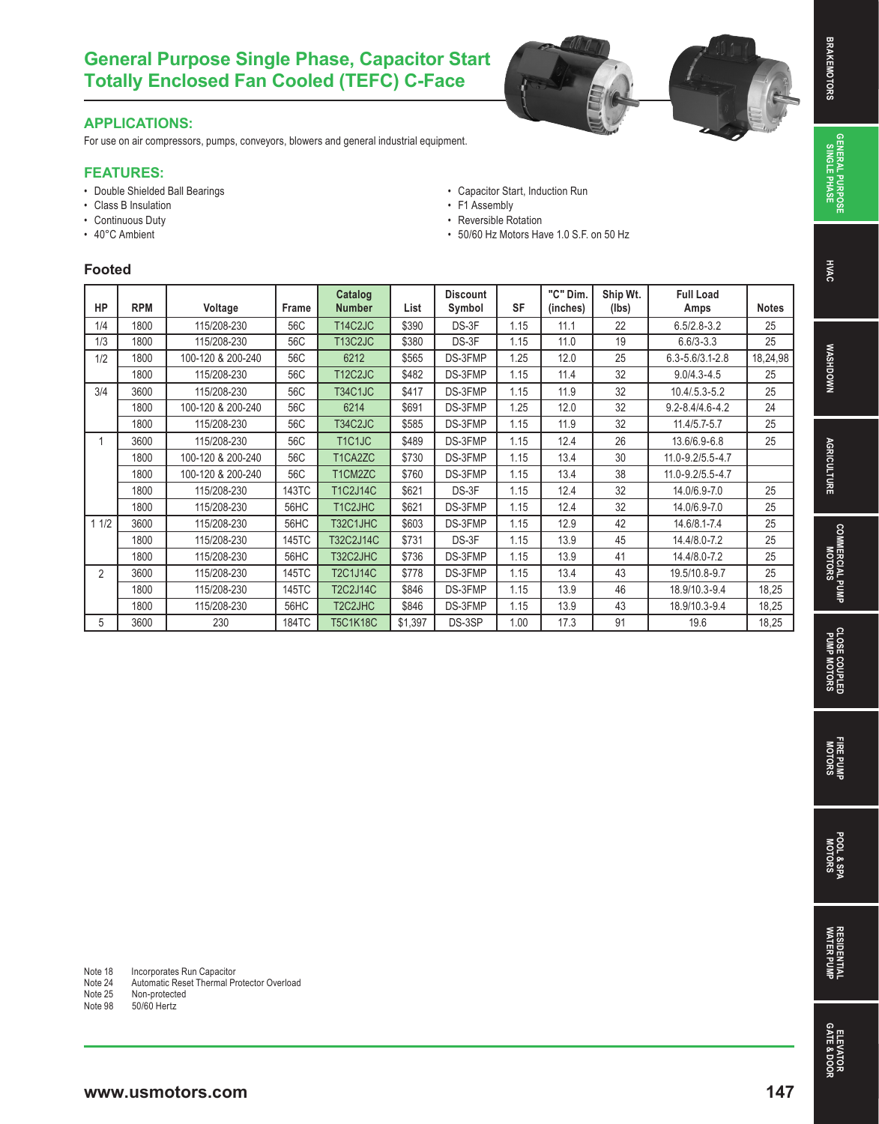# **GENERAL PURPOSE**<br>SINGLE PHASE **GENERAL PURPOSE**

## **General Purpose Single Phase, Capacitor Start Totally Enclosed Fan Cooled (TEFC) C-Face**

#### **APPLICATIONS:**

For use on air compressors, pumps, conveyors, blowers and general industrial equipment.

#### **FEATURES:**

- Double Shielded Ball Bearings
- Class B Insulation
- Continuous Duty
- 40°C Ambient
- Capacitor Start, Induction Run
- F1 Assembly
- Reversible Rotation
- 50/60 Hz Motors Have 1.0 S.F. on 50 Hz

#### **Footed**

| HP             | <b>RPM</b> | Voltage           | Frame        | Catalog<br><b>Number</b>          | List    | <b>Discount</b><br>Symbol | <b>SF</b> | "C" Dim.<br>(inches) | Ship Wt.<br>(lbs) | <b>Full Load</b><br>Amps | <b>Notes</b> |
|----------------|------------|-------------------|--------------|-----------------------------------|---------|---------------------------|-----------|----------------------|-------------------|--------------------------|--------------|
| 1/4            | 1800       | 115/208-230       | 56C          | T14C2JC                           | \$390   | DS-3F                     | 1.15      | 11.1                 | 22                | $6.5/2.8 - 3.2$          | 25           |
| 1/3            | 1800       | 115/208-230       | 56C          | <b>T13C2JC</b>                    | \$380   | DS-3F                     | 1.15      | 11.0                 | 19                | $6.6/3 - 3.3$            | 25           |
| 1/2            | 1800       | 100-120 & 200-240 | 56C          | 6212                              | \$565   | DS-3FMP                   | 1.25      | 12.0                 | 25                | $6.3 - 5.6/3.1 - 2.8$    | 18,24,98     |
|                | 1800       | 115/208-230       | 56C          | <b>T12C2JC</b>                    | \$482   | DS-3FMP                   | 1.15      | 11.4                 | 32                | $9.0/4.3 - 4.5$          | 25           |
| 3/4            | 3600       | 115/208-230       | 56C          | <b>T34C1JC</b>                    | \$417   | DS-3FMP                   | 1.15      | 11.9                 | 32                | $10.4/0.5.3 - 5.2$       | 25           |
|                | 1800       | 100-120 & 200-240 | 56C          | 6214                              | \$691   | DS-3FMP                   | 1.25      | 12.0                 | 32                | $9.2 - 8.4/4.6 - 4.2$    | 24           |
|                | 1800       | 115/208-230       | 56C          | T34C2JC                           | \$585   | DS-3FMP                   | 1.15      | 11.9                 | 32                | 11.4/5.7-5.7             | 25           |
|                | 3600       | 115/208-230       | 56C          | T1C1JC                            | \$489   | DS-3FMP                   | 1.15      | 12.4                 | 26                | 13.6/6.9-6.8             | 25           |
|                | 1800       | 100-120 & 200-240 | 56C          | T1CA2ZC                           | \$730   | DS-3FMP                   | 1.15      | 13.4                 | 30                | 11.0-9.2/5.5-4.7         |              |
|                | 1800       | 100-120 & 200-240 | 56C          | T1CM2ZC                           | \$760   | DS-3FMP                   | 1.15      | 13.4                 | 38                | 11.0-9.2/5.5-4.7         |              |
|                | 1800       | 115/208-230       | 143TC        | <b>T1C2J14C</b>                   | \$621   | DS-3F                     | 1.15      | 12.4                 | 32                | 14.0/6.9-7.0             | 25           |
|                | 1800       | 115/208-230       | 56HC         | T1C2JHC                           | \$621   | DS-3FMP                   | 1.15      | 12.4                 | 32                | 14.0/6.9-7.0             | 25           |
| 11/2           | 3600       | 115/208-230       | <b>56HC</b>  | T32C1JHC                          | \$603   | DS-3FMP                   | 1.15      | 12.9                 | 42                | 14.6/8.1-7.4             | 25           |
|                | 1800       | 115/208-230       | 145TC        | T32C2J14C                         | \$731   | DS-3F                     | 1.15      | 13.9                 | 45                | 14.4/8.0-7.2             | 25           |
|                | 1800       | 115/208-230       | <b>56HC</b>  | T32C2JHC                          | \$736   | DS-3FMP                   | 1.15      | 13.9                 | 41                | 14.4/8.0-7.2             | 25           |
| $\overline{2}$ | 3600       | 115/208-230       | 145TC        | <b>T2C1J14C</b>                   | \$778   | DS-3FMP                   | 1.15      | 13.4                 | 43                | 19.5/10.8-9.7            | 25           |
|                | 1800       | 115/208-230       | 145TC        | <b>T2C2J14C</b>                   | \$846   | DS-3FMP                   | 1.15      | 13.9                 | 46                | 18.9/10.3-9.4            | 18,25        |
|                | 1800       | 115/208-230       | 56HC         | T <sub>2</sub> C <sub>2</sub> JHC | \$846   | DS-3FMP                   | 1.15      | 13.9                 | 43                | 18.9/10.3-9.4            | 18,25        |
| 5              | 3600       | 230               | <b>184TC</b> | <b>T5C1K18C</b>                   | \$1,397 | DS-3SP                    | 1.00      | 17.3                 | 91                | 19.6                     | 18,25        |

**FIRE PUMP**  FIRE PUMP

**ELEVATOR**

**ELEVATOR**<br>GATE & DOOR

| Note 18 | Incorporates Run Capacitor |  |
|---------|----------------------------|--|
|         |                            |  |

Note 24 Automatic Reset Thermal Protector Overload

Note 25 Non-protected<br>Note 98 50/60 Hertz

50/60 Hertz